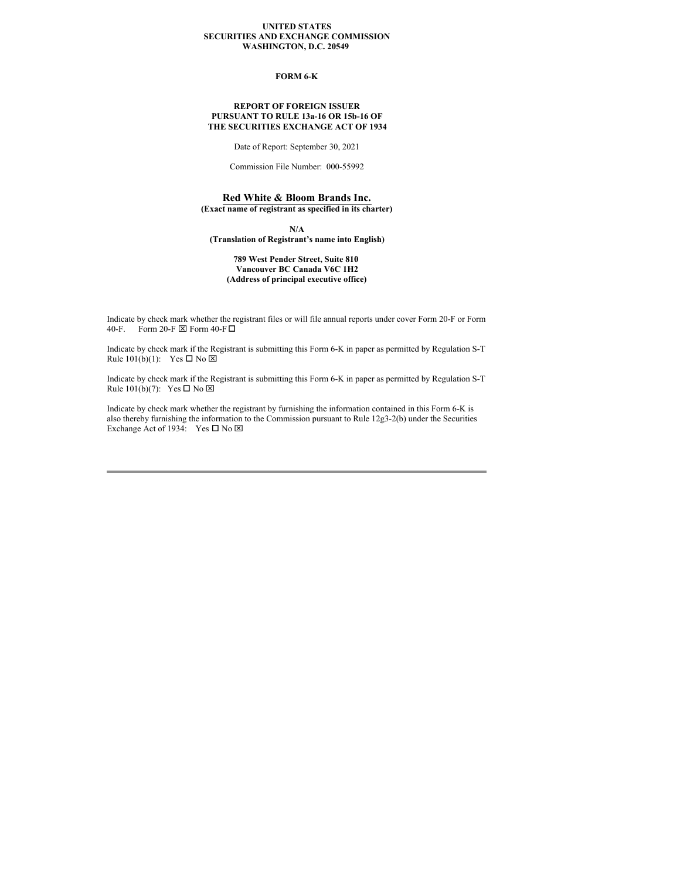#### **UNITED STATES SECURITIES AND EXCHANGE COMMISSION WASHINGTON, D.C. 20549**

### **FORM 6-K**

#### **REPORT OF FOREIGN ISSUER PURSUANT TO RULE 13a-16 OR 15b-16 OF THE SECURITIES EXCHANGE ACT OF 1934**

Date of Report: September 30, 2021

Commission File Number: 000-55992

#### **Red White & Bloom Brands Inc. (Exact name of registrant as specified in its charter)**

**N/A (Translation of Registrant's name into English)**

#### **789 West Pender Street, Suite 810 Vancouver BC Canada V6C 1H2 (Address of principal executive office)**

Indicate by check mark whether the registrant files or will file annual reports under cover Form 20-F or Form 40-F. Form 20-F $\boxtimes$  Form 40-F $\Box$ 

Indicate by check mark if the Registrant is submitting this Form 6-K in paper as permitted by Regulation S-T Rule  $101(b)(1)$ : Yes  $\Box$  No  $\boxtimes$ 

Indicate by check mark if the Registrant is submitting this Form 6-K in paper as permitted by Regulation S-T Rule  $101(b)(7)$ : Yes  $\Box$  No  $\boxtimes$ 

Indicate by check mark whether the registrant by furnishing the information contained in this Form 6-K is also thereby furnishing the information to the Commission pursuant to Rule 12g3-2(b) under the Securities Exchange Act of 1934: Yes  $\square$  No  $\square$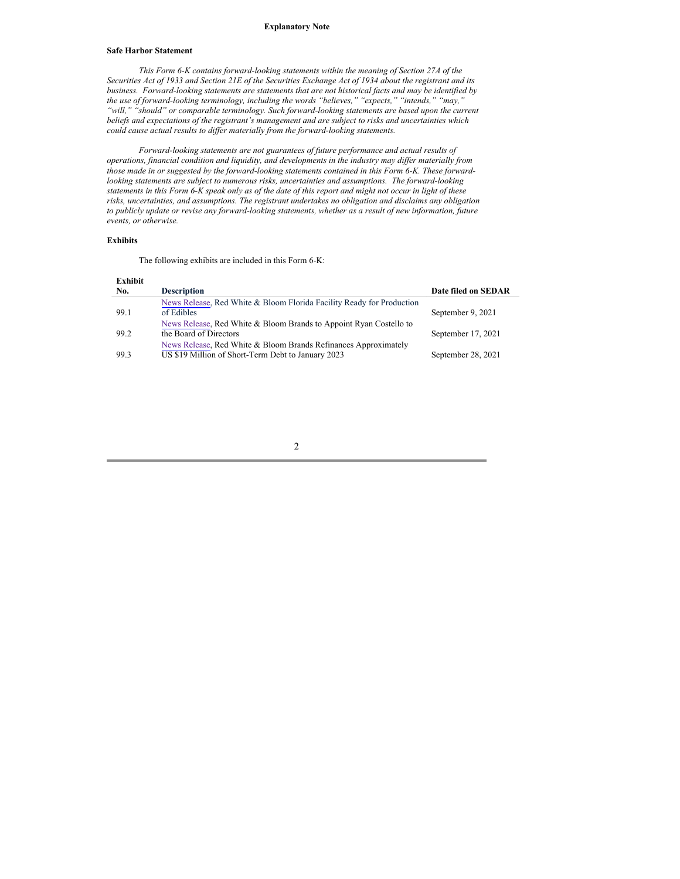#### **Explanatory Note**

#### **Safe Harbor Statement**

*This Form 6-K contains forward-looking statements within the meaning of Section 27A of the* Securities Act of 1933 and Section 21E of the Securities Exchange Act of 1934 about the registrant and its *business. Forward-looking statements are statements that are not historical facts and may be identified by the use of forward-looking terminology, including the words "believes," "expects," "intends," "may," "will," "should" or comparable terminology. Such forward-looking statements are based upon the current beliefs and expectations of the registrant's management and are subject to risks and uncertainties which could cause actual results to dif er materially from the forward-looking statements.*

*Forward-looking statements are not guarantees of future performance and actual results of operations, financial condition and liquidity, and developments in the industry may dif er materially from those made in or suggested by the forward-looking statements contained in this Form 6-K. These forwardlooking statements are subject to numerous risks, uncertainties and assumptions. The forward-looking* statements in this Form 6-K speak only as of the date of this report and might not occur in light of these *risks, uncertainties, and assumptions. The registrant undertakes no obligation and disclaims any obligation to publicly update or revise any forward-looking statements, whether as a result of new information, future events, or otherwise.*

#### **Exhibits**

The following exhibits are included in this Form 6-K:

| <b>Exhibit</b> |                                                                       |                     |
|----------------|-----------------------------------------------------------------------|---------------------|
| No.            | <b>Description</b>                                                    | Date filed on SEDAR |
|                | News Release, Red White & Bloom Florida Facility Ready for Production |                     |
| 99.1           | of Edibles                                                            | September 9, 2021   |
|                | News Release, Red White & Bloom Brands to Appoint Ryan Costello to    |                     |
| 99.2           | the Board of Directors                                                | September 17, 2021  |
|                | News Release, Red White & Bloom Brands Refinances Approximately       |                     |
| 99.3           | US \$19 Million of Short-Term Debt to January 2023                    | September 28, 2021  |
|                |                                                                       |                     |

2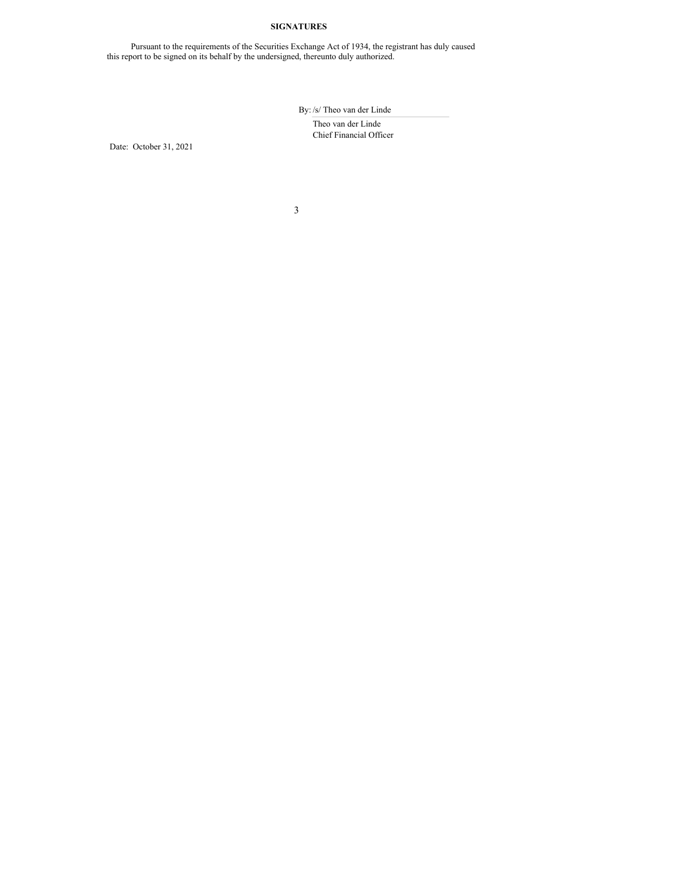#### **SIGNATURES**

Pursuant to the requirements of the Securities Exchange Act of 1934, the registrant has duly caused this report to be signed on its behalf by the undersigned, thereunto duly authorized.

By: /s/ Theo van der Linde

Theo van der Linde Chief Financial Officer

Date: October 31, 2021

3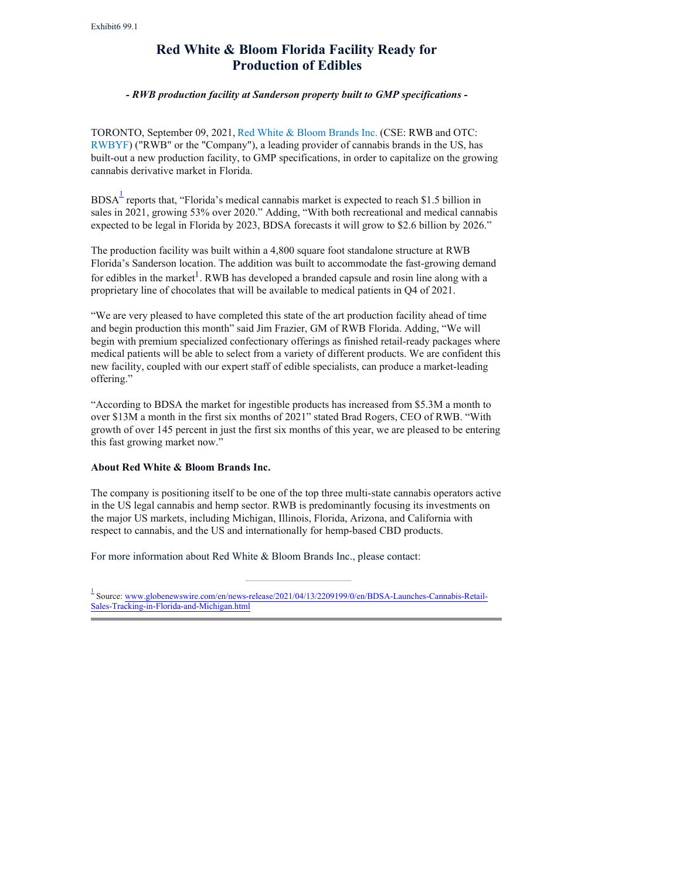# **Red White & Bloom Florida Facility Ready for Production of Edibles**

## *- RWB production facility at Sanderson property built to GMP specifications -*

TORONTO, September 09, 2021, Red White & Bloom Brands Inc. (CSE: RWB and OTC: RWBYF) ("RWB" or the "Company"), a leading provider of cannabis brands in the US, has built-out a new production facility, to GMP specifications, in order to capitalize on the growing cannabis derivative market in Florida.

<span id="page-3-1"></span> $BDSA<sup>1</sup>$  $BDSA<sup>1</sup>$  $BDSA<sup>1</sup>$  reports that, "Florida's medical cannabis market is expected to reach \$1.5 billion in sales in 2021, growing 53% over 2020." Adding, "With both recreational and medical cannabis expected to be legal in Florida by 2023, BDSA forecasts it will grow to \$2.6 billion by 2026."

The production facility was built within a 4,800 square foot standalone structure at RWB Florida's Sanderson location. The addition was built to accommodate the fast-growing demand for edibles in the market<sup>1</sup>. RWB has developed a branded capsule and rosin line along with a proprietary line of chocolates that will be available to medical patients in Q4 of 2021.

"We are very pleased to have completed this state of the art production facility ahead of time and begin production this month" said Jim Frazier, GM of RWB Florida. Adding, "We will begin with premium specialized confectionary offerings as finished retail-ready packages where medical patients will be able to select from a variety of different products. We are confident this new facility, coupled with our expert staff of edible specialists, can produce a market-leading offering."

"According to BDSA the market for ingestible products has increased from \$5.3M a month to over \$13M a month in the first six months of 2021" stated Brad Rogers, CEO of RWB. "With growth of over 145 percent in just the first six months of this year, we are pleased to be entering this fast growing market now."

# **About Red White & Bloom Brands Inc.**

The company is positioning itself to be one of the top three multi-state cannabis operators active in the US legal cannabis and hemp sector. RWB is predominantly focusing its investments on the major US markets, including Michigan, Illinois, Florida, Arizona, and California with respect to cannabis, and the US and internationally for hemp-based CBD products.

For more information about Red White & Bloom Brands Inc., please contact:

<span id="page-3-0"></span>[<sup>1</sup>](#page-3-1) Source: www.globenewswire.com/en/news-release/2021/04/13/2209199/0/en/BDSA-Launches-Cannabis-Retail-Sales-Tracking-in-Florida-and-Michigan.html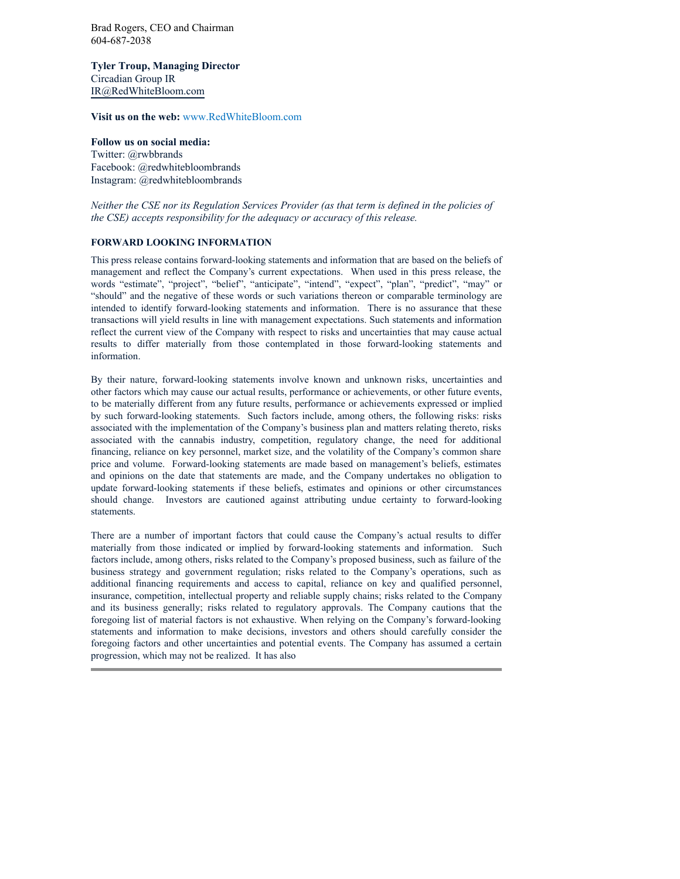<span id="page-4-0"></span>Brad Rogers, CEO and Chairman 604-687-2038

**Tyler Troup, Managing Director** Circadian Group IR IR@RedWhiteBloom.com

**Visit us on the web:** www.RedWhiteBloom.com

**Follow us on social media:** Twitter: @rwbbrands Facebook: @redwhitebloombrands Instagram: @redwhitebloombrands

*Neither the CSE nor its Regulation Services Provider (as that term is defined in the policies of the CSE) accepts responsibility for the adequacy or accuracy of this release.*

### **FORWARD LOOKING INFORMATION**

This press release contains forward-looking statements and information that are based on the beliefs of management and reflect the Company's current expectations. When used in this press release, the words "estimate", "project", "belief", "anticipate", "intend", "expect", "plan", "predict", "may" or "should" and the negative of these words or such variations thereon or comparable terminology are intended to identify forward-looking statements and information. There is no assurance that these transactions will yield results in line with management expectations. Such statements and information reflect the current view of the Company with respect to risks and uncertainties that may cause actual results to differ materially from those contemplated in those forward-looking statements and information.

By their nature, forward-looking statements involve known and unknown risks, uncertainties and other factors which may cause our actual results, performance or achievements, or other future events, to be materially different from any future results, performance or achievements expressed or implied by such forward-looking statements. Such factors include, among others, the following risks: risks associated with the implementation of the Company's business plan and matters relating thereto, risks associated with the cannabis industry, competition, regulatory change, the need for additional financing, reliance on key personnel, market size, and the volatility of the Company's common share price and volume. Forward-looking statements are made based on management's beliefs, estimates and opinions on the date that statements are made, and the Company undertakes no obligation to update forward-looking statements if these beliefs, estimates and opinions or other circumstances should change. Investors are cautioned against attributing undue certainty to forward-looking statements.

There are a number of important factors that could cause the Company's actual results to differ materially from those indicated or implied by forward-looking statements and information. Such factors include, among others, risks related to the Company's proposed business, such as failure of the business strategy and government regulation; risks related to the Company's operations, such as additional financing requirements and access to capital, reliance on key and qualified personnel, insurance, competition, intellectual property and reliable supply chains; risks related to the Company and its business generally; risks related to regulatory approvals. The Company cautions that the foregoing list of material factors is not exhaustive. When relying on the Company's forward-looking statements and information to make decisions, investors and others should carefully consider the foregoing factors and other uncertainties and potential events. The Company has assumed a certain progression, which may not be realized. It has also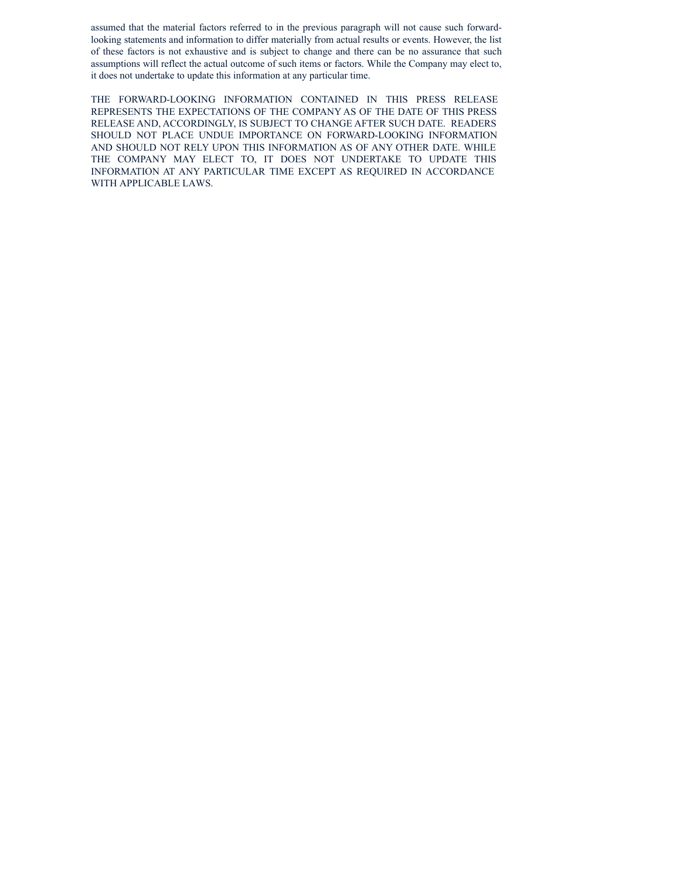assumed that the material factors referred to in the previous paragraph will not cause such forwardlooking statements and information to differ materially from actual results or events. However, the list of these factors is not exhaustive and is subject to change and there can be no assurance that such assumptions will reflect the actual outcome of such items or factors. While the Company may elect to, it does not undertake to update this information at any particular time.

THE FORWARD-LOOKING INFORMATION CONTAINED IN THIS PRESS RELEASE REPRESENTS THE EXPECTATIONS OF THE COMPANY AS OF THE DATE OF THIS PRESS RELEASE AND, ACCORDINGLY, IS SUBJECT TO CHANGE AFTER SUCH DATE. READERS SHOULD NOT PLACE UNDUE IMPORTANCE ON FORWARD-LOOKING INFORMATION AND SHOULD NOT RELY UPON THIS INFORMATION AS OF ANY OTHER DATE. WHILE THE COMPANY MAY ELECT TO, IT DOES NOT UNDERTAKE TO UPDATE THIS INFORMATION AT ANY PARTICULAR TIME EXCEPT AS REQUIRED IN ACCORDANCE WITH APPLICABLE LAWS.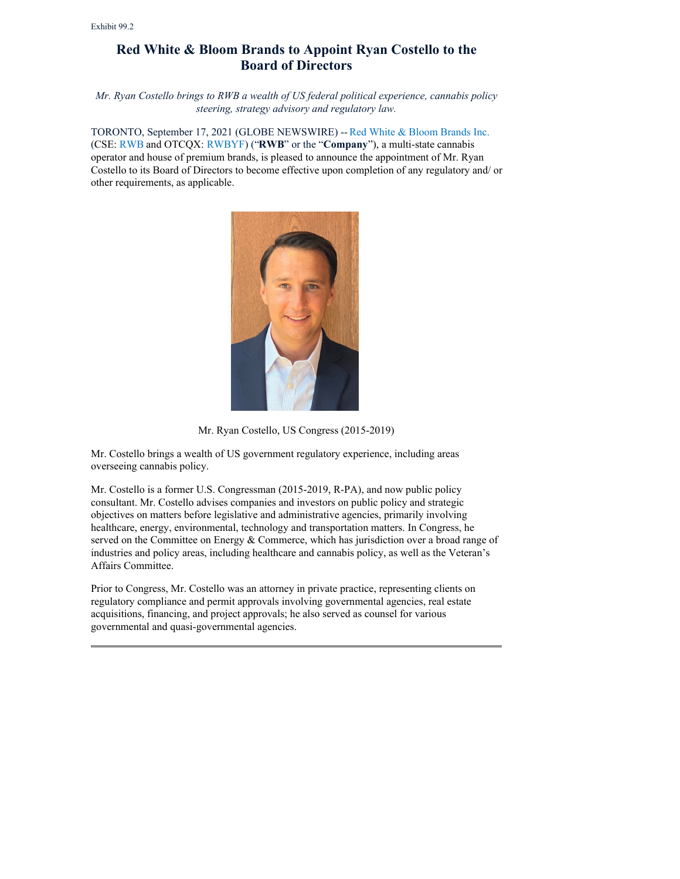# **Red White & Bloom Brands to Appoint Ryan Costello to the Board of Directors**

*Mr. Ryan Costello brings to RWB a wealth of US federal political experience, cannabis policy steering, strategy advisory and regulatory law.*

TORONTO, September 17, 2021 (GLOBE NEWSWIRE) --Red White & Bloom Brands Inc. (CSE: RWB and OTCQX: RWBYF) ("**RWB**" or the "**Company**"), a multi-state cannabis operator and house of premium brands, is pleased to announce the appointment of Mr. Ryan Costello to its Board of Directors to become effective upon completion of any regulatory and/ or other requirements, as applicable.





Mr. Costello brings a wealth of US government regulatory experience, including areas overseeing cannabis policy.

Mr. Costello is a former U.S. Congressman (2015-2019, R-PA), and now public policy consultant. Mr. Costello advises companies and investors on public policy and strategic objectives on matters before legislative and administrative agencies, primarily involving healthcare, energy, environmental, technology and transportation matters. In Congress, he served on the Committee on Energy & Commerce, which has jurisdiction over a broad range of industries and policy areas, including healthcare and cannabis policy, as well as the Veteran's Affairs Committee.

Prior to Congress, Mr. Costello was an attorney in private practice, representing clients on regulatory compliance and permit approvals involving governmental agencies, real estate acquisitions, financing, and project approvals; he also served as counsel for various governmental and quasi-governmental agencies.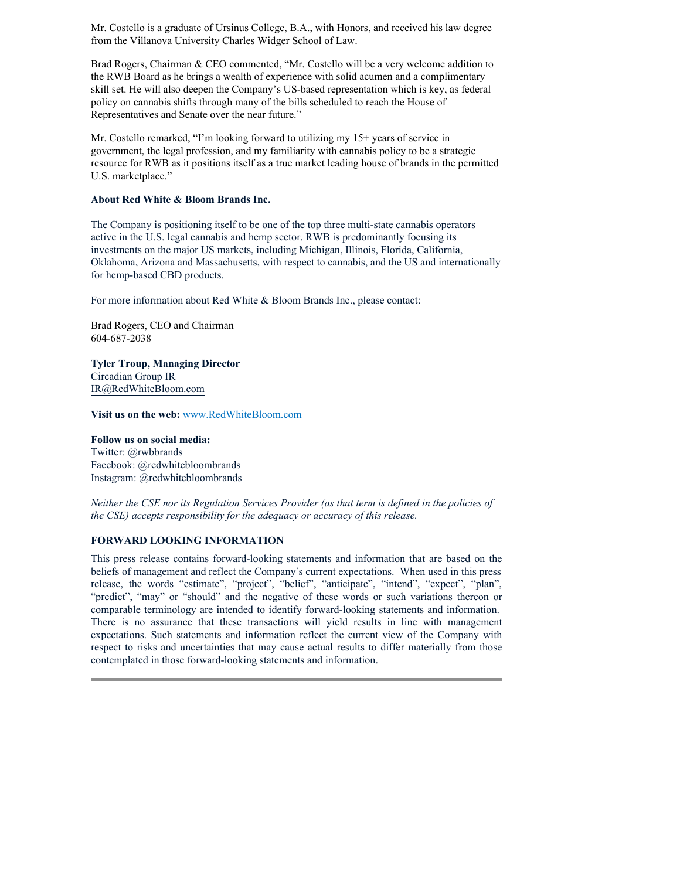<span id="page-7-0"></span>Mr. Costello is a graduate of Ursinus College, B.A., with Honors, and received his law degree from the Villanova University Charles Widger School of Law.

Brad Rogers, Chairman & CEO commented, "Mr. Costello will be a very welcome addition to the RWB Board as he brings a wealth of experience with solid acumen and a complimentary skill set. He will also deepen the Company's US-based representation which is key, as federal policy on cannabis shifts through many of the bills scheduled to reach the House of Representatives and Senate over the near future."

Mr. Costello remarked, "I'm looking forward to utilizing my 15+ years of service in government, the legal profession, and my familiarity with cannabis policy to be a strategic resource for RWB as it positions itself as a true market leading house of brands in the permitted U.S. marketplace."

## **About Red White & Bloom Brands Inc.**

The Company is positioning itself to be one of the top three multi-state cannabis operators active in the U.S. legal cannabis and hemp sector. RWB is predominantly focusing its investments on the major US markets, including Michigan, Illinois, Florida, California, Oklahoma, Arizona and Massachusetts, with respect to cannabis, and the US and internationally for hemp-based CBD products.

For more information about Red White & Bloom Brands Inc., please contact:

Brad Rogers, CEO and Chairman 604-687-2038

**Tyler Troup, Managing Director** Circadian Group IR IR@RedWhiteBloom.com

**Visit us on the web:** www.RedWhiteBloom.com

**Follow us on social media:** Twitter: @rwbbrands Facebook: @redwhitebloombrands Instagram: @redwhitebloombrands

*Neither the CSE nor its Regulation Services Provider (as that term is defined in the policies of the CSE) accepts responsibility for the adequacy or accuracy of this release.*

# **FORWARD LOOKING INFORMATION**

This press release contains forward-looking statements and information that are based on the beliefs of management and reflect the Company's current expectations. When used in this press release, the words "estimate", "project", "belief", "anticipate", "intend", "expect", "plan", "predict", "may" or "should" and the negative of these words or such variations thereon or comparable terminology are intended to identify forward-looking statements and information. There is no assurance that these transactions will yield results in line with management expectations. Such statements and information reflect the current view of the Company with respect to risks and uncertainties that may cause actual results to differ materially from those contemplated in those forward-looking statements and information.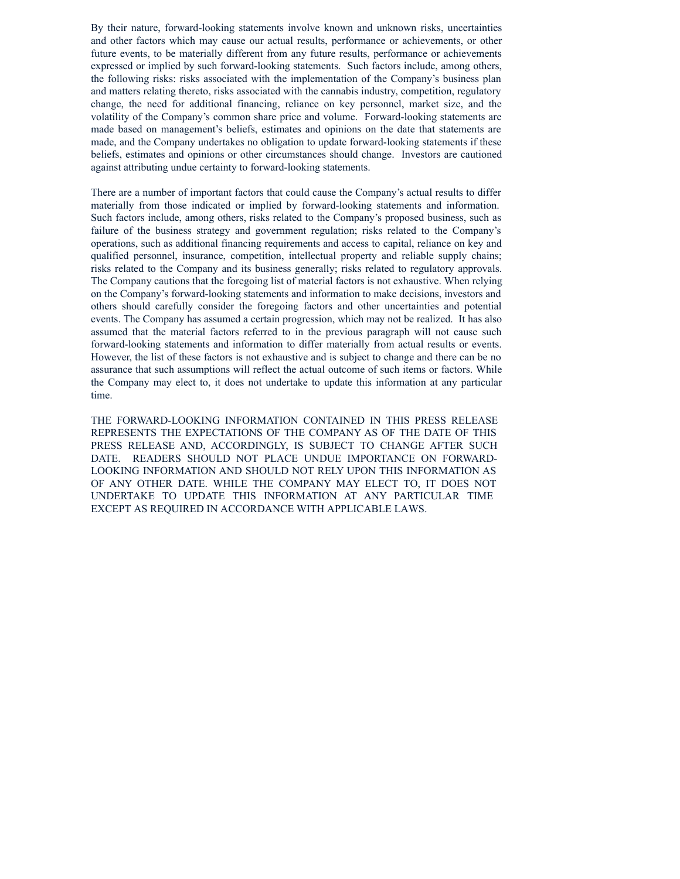By their nature, forward-looking statements involve known and unknown risks, uncertainties and other factors which may cause our actual results, performance or achievements, or other future events, to be materially different from any future results, performance or achievements expressed or implied by such forward-looking statements. Such factors include, among others, the following risks: risks associated with the implementation of the Company's business plan and matters relating thereto, risks associated with the cannabis industry, competition, regulatory change, the need for additional financing, reliance on key personnel, market size, and the volatility of the Company's common share price and volume. Forward-looking statements are made based on management's beliefs, estimates and opinions on the date that statements are made, and the Company undertakes no obligation to update forward-looking statements if these beliefs, estimates and opinions or other circumstances should change. Investors are cautioned against attributing undue certainty to forward-looking statements.

There are a number of important factors that could cause the Company's actual results to differ materially from those indicated or implied by forward-looking statements and information. Such factors include, among others, risks related to the Company's proposed business, such as failure of the business strategy and government regulation; risks related to the Company's operations, such as additional financing requirements and access to capital, reliance on key and qualified personnel, insurance, competition, intellectual property and reliable supply chains; risks related to the Company and its business generally; risks related to regulatory approvals. The Company cautions that the foregoing list of material factors is not exhaustive. When relying on the Company's forward-looking statements and information to make decisions, investors and others should carefully consider the foregoing factors and other uncertainties and potential events. The Company has assumed a certain progression, which may not be realized. It has also assumed that the material factors referred to in the previous paragraph will not cause such forward-looking statements and information to differ materially from actual results or events. However, the list of these factors is not exhaustive and is subject to change and there can be no assurance that such assumptions will reflect the actual outcome of such items or factors. While the Company may elect to, it does not undertake to update this information at any particular time.

THE FORWARD-LOOKING INFORMATION CONTAINED IN THIS PRESS RELEASE REPRESENTS THE EXPECTATIONS OF THE COMPANY AS OF THE DATE OF THIS PRESS RELEASE AND, ACCORDINGLY, IS SUBJECT TO CHANGE AFTER SUCH DATE. READERS SHOULD NOT PLACE UNDUE IMPORTANCE ON FORWARD-LOOKING INFORMATION AND SHOULD NOT RELY UPON THIS INFORMATION AS OF ANY OTHER DATE. WHILE THE COMPANY MAY ELECT TO, IT DOES NOT UNDERTAKE TO UPDATE THIS INFORMATION AT ANY PARTICULAR TIME EXCEPT AS REQUIRED IN ACCORDANCE WITH APPLICABLE LAWS.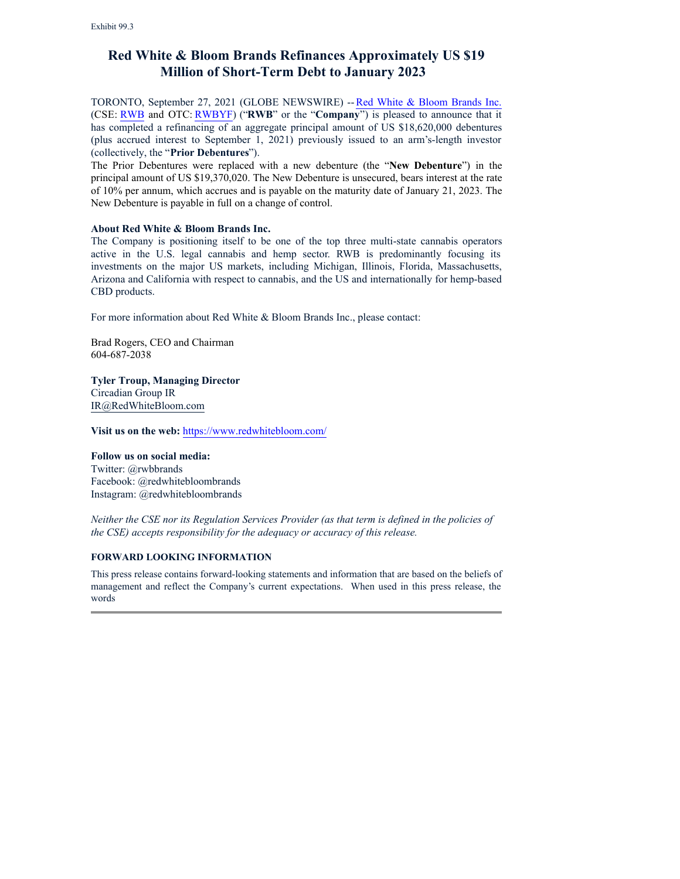# <span id="page-9-0"></span>**Red White & Bloom Brands Refinances Approximately US \$19 Million of Short-Term Debt to January 2023**

TORONTO, September 27, 2021 (GLOBE NEWSWIRE) --Red White & Bloom Brands Inc. (CSE: RWB and OTC: RWBYF) ("**RWB**" or the "**Company**") is pleased to announce that it has completed a refinancing of an aggregate principal amount of US \$18,620,000 debentures (plus accrued interest to September 1, 2021) previously issued to an arm's-length investor (collectively, the "**Prior Debentures**").

The Prior Debentures were replaced with a new debenture (the "**New Debenture**") in the principal amount of US \$19,370,020. The New Debenture is unsecured, bears interest at the rate of 10% per annum, which accrues and is payable on the maturity date of January 21, 2023. The New Debenture is payable in full on a change of control.

## **About Red White & Bloom Brands Inc.**

The Company is positioning itself to be one of the top three multi-state cannabis operators active in the U.S. legal cannabis and hemp sector. RWB is predominantly focusing its investments on the major US markets, including Michigan, Illinois, Florida, Massachusetts, Arizona and California with respect to cannabis, and the US and internationally for hemp-based CBD products.

For more information about Red White & Bloom Brands Inc., please contact:

Brad Rogers, CEO and Chairman 604-687-2038

# **Tyler Troup, Managing Director**

Circadian Group IR IR@RedWhiteBloom.com

**Visit us on the web:** https://www.redwhitebloom.com/

**Follow us on social media:** Twitter: @rwbbrands Facebook: @redwhitebloombrands Instagram: @redwhitebloombrands

*Neither the CSE nor its Regulation Services Provider (as that term is defined in the policies of the CSE) accepts responsibility for the adequacy or accuracy of this release.*

# **FORWARD LOOKING INFORMATION**

This press release contains forward-looking statements and information that are based on the beliefs of management and reflect the Company's current expectations. When used in this press release, the words